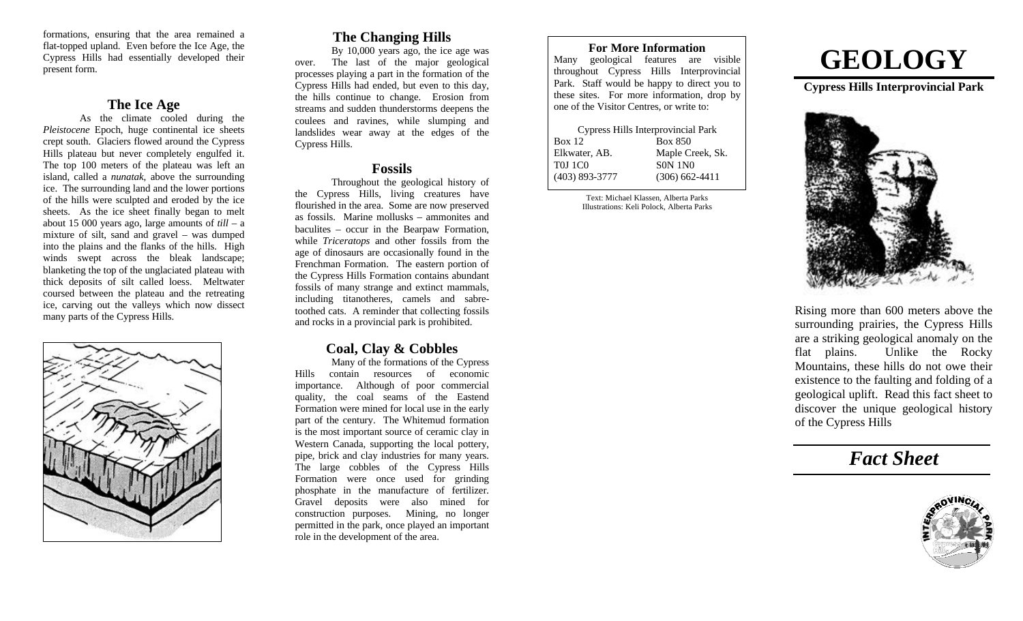formations, ensuring that the area remained a flat-topped upland. Even before the Ice Age, the Cypress Hills had essentially developed their present form.

### **The Ice Age**

As the climate cooled during the *Pleistocene* Epoch, huge continental ice sheets crept south. Glaciers flowed around the Cypress Hills plateau but never completely engulfed it. The top 100 meters of the plateau was left an island, called a *nunatak*, above the surrounding ice. The surrounding land and the lower portions of the hills were sculpted and eroded by the ice sheets. As the ice sheet finally began to melt about 15 000 years ago, large amounts of *till* – a mixture of silt, sand and gravel – was dumped into the plains and the flanks of the hills. High winds swept across the bleak landscape; blanketing the top of the unglaciated plateau with thick deposits of silt called loess. Meltwater coursed between the plateau and the retreating ice, carving out the valleys which now dissect many parts of the Cypress Hills.



# **The Changing Hills**

By 10,000 years ago, the ice age was over. The last of the major geological processes playing a part in the formation of the Cypress Hills had ended, but even to this day, the hills continue to change. Erosion from streams and sudden thunderstorms deepens the coulees and ravines, while slumping and landslides wear away at the edges of the Cypress Hills.

## **Fossils**

Throughout the geological history of the Cypress Hills, living creatures have flourished in the area. Some are now preserved as fossils. Marine mollusks – ammonites and baculites – occur in the Bearpaw Formation, while *Triceratops* and other fossils from the age of dinosaurs are occasionally found in the Frenchman Formation. The eastern portion of the Cypress Hills Formation contains abundant fossils of many strange and extinct mammals, including titanotheres, camels and sabretoothed cats. A reminder that collecting fossils and rocks in a provincial park is prohibited.

# **Coal, Clay & Cobbles**

Many of the formations of the Cypress Hills contain resources of economic importance. Although of poor commercial quality, the coal seams of the Eastend Formation were mined for local use in the early part of the century. The Whitemud formation is the most important source of ceramic clay in Western Canada, supporting the local pottery, pipe, brick and clay industries for many years. The large cobbles of the Cypress Hills Formation were once used for grinding phosphate in the manufacture of fertilizer. Gravel deposits were also mined for construction purposes. Mining, no longer permitted in the park, once played an important role in the development of the area.

#### **For More Information** Many geological features are visible throughout Cypress Hills Interprovincial Park. Staff would be happy to direct you to these sites. For more information, drop by one of the Visitor Centres, or write to:

| Cypress Hills Interprovincial Park |
|------------------------------------|
| <b>Box 850</b>                     |
| Maple Creek, Sk.                   |
| <b>SON 1NO</b>                     |
| $(306)$ 662-4411                   |
|                                    |

Text: Michael Klassen, Alberta Parks Illustrations: Keli Polock, Alberta Parks

# **GEOLOGY**

**Cypress Hills Interprovincial Park**



Rising more than 600 meters above the surrounding prairies, the Cypress Hills are a striking geological anomaly on the flat plains. Unlike the Rocky Mountains, these hills do not owe their existence to the faulting and folding of a geological uplift. Read this fact sheet to discover the unique geological history of the Cypress Hills

# *Fact Sheet*